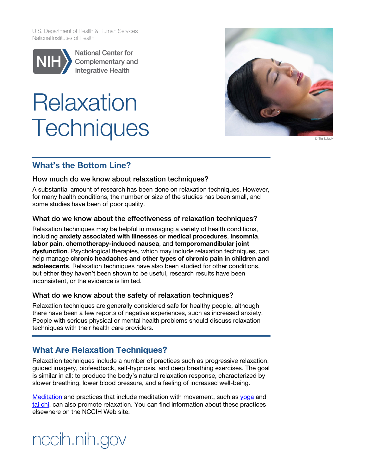U.S. Department of Health & Human Services National Institutes of Health



**National Center for Complementary and Integrative Health** 

# Relaxation Techniques **DECANNAISS**



## What's the Bottom Line?

## How much do we know about relaxation techniques?

A substantial amount of research has been done on relaxation techniques. However, for many health conditions, the number or size of the studies has been small, and some studies have been of poor quality.

## What do we know about the effectiveness of relaxation techniques?

Relaxation techniques may be helpful in managing a variety of health conditions, including anxiety associated with illnesses or medical procedures, insomnia, labor pain, chemotherapy-induced nausea, and temporomandibular joint dysfunction. Psychological therapies, which may include relaxation techniques, can help manage chronic headaches and other types of chronic pain in children and adolescents. Relaxation techniques have also been studied for other conditions, but either they haven't been shown to be useful, research results have been inconsistent, or the evidence is limited.

## What do we know about the safety of relaxation techniques?

Relaxation techniques are generally considered safe for healthy people, although there have been a few reports of negative experiences, such as increased anxiety. People with serious physical or mental health problems should discuss relaxation techniques with their health care providers.

## What Are Relaxation Techniques?

Relaxation techniques include a number of practices such as progressive relaxation, guided imagery, biofeedback, self-hypnosis, and deep breathing exercises. The goal is similar in all: to produce the body's natural relaxation response, characterized by slower breathing, lower blood pressure, and a feeling of increased well-being.

[Meditation](https://nccih.nih.gov/health/meditation) and practices that include meditation with movement, such as [yoga](https://nccih.nih.gov/health/yoga/) and [tai chi](https://nccih.nih.gov/health/taichi), can also promote relaxation. You can find information about these practices elsewhere on the NCCIH Web site.

## nccih.nih.gov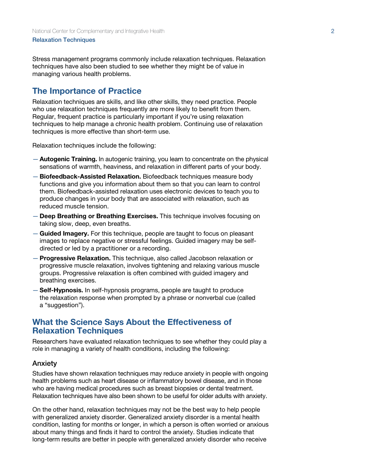Stress management programs commonly include relaxation techniques. Relaxation techniques have also been studied to see whether they might be of value in managing various health problems.

## The Importance of Practice

Relaxation techniques are skills, and like other skills, they need practice. People who use relaxation techniques frequently are more likely to benefit from them. Regular, frequent practice is particularly important if you're using relaxation techniques to help manage a chronic health problem. Continuing use of relaxation techniques is more effective than short-term use.

Relaxation techniques include the following:

- —Autogenic Training. In autogenic training, you learn to concentrate on the physical sensations of warmth, heaviness, and relaxation in different parts of your body.
- Biofeedback-Assisted Relaxation. Biofeedback techniques measure body functions and give you information about them so that you can learn to control them. Biofeedback-assisted relaxation uses electronic devices to teach you to produce changes in your body that are associated with relaxation, such as reduced muscle tension.
- Deep Breathing or Breathing Exercises. This technique involves focusing on taking slow, deep, even breaths.
- Guided Imagery. For this technique, people are taught to focus on pleasant images to replace negative or stressful feelings. Guided imagery may be selfdirected or led by a practitioner or a recording.
- —Progressive Relaxation. This technique, also called Jacobson relaxation or progressive muscle relaxation, involves tightening and relaxing various muscle groups. Progressive relaxation is often combined with guided imagery and breathing exercises.
- Self-Hypnosis. In self-hypnosis programs, people are taught to produce the relaxation response when prompted by a phrase or nonverbal cue (called a "suggestion").

## What the Science Says About the Effectiveness of Relaxation Techniques

Researchers have evaluated relaxation techniques to see whether they could play a role in managing a variety of health conditions, including the following:

## Anxiety

Studies have shown relaxation techniques may reduce anxiety in people with ongoing health problems such as heart disease or inflammatory bowel disease, and in those who are having medical procedures such as breast biopsies or dental treatment. Relaxation techniques have also been shown to be useful for older adults with anxiety.

On the other hand, relaxation techniques may not be the best way to help people with generalized anxiety disorder. Generalized anxiety disorder is a mental health condition, lasting for months or longer, in which a person is often worried or anxious about many things and finds it hard to control the anxiety. Studies indicate that long-term results are better in people with generalized anxiety disorder who receive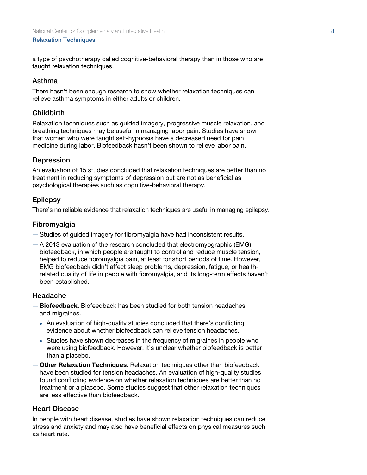a type of psychotherapy called cognitive-behavioral therapy than in those who are taught relaxation techniques.

#### Asthma

There hasn't been enough research to show whether relaxation techniques can relieve asthma symptoms in either adults or children.

#### **Childbirth**

Relaxation techniques such as guided imagery, progressive muscle relaxation, and breathing techniques may be useful in managing labor pain. Studies have shown that women who were taught self-hypnosis have a decreased need for pain medicine during labor. Biofeedback hasn't been shown to relieve labor pain.

#### **Depression**

An evaluation of 15 studies concluded that relaxation techniques are better than no treatment in reducing symptoms of depression but are not as beneficial as psychological therapies such as cognitive-behavioral therapy.

#### **Epilepsy**

There's no reliable evidence that relaxation techniques are useful in managing epilepsy.

#### Fibromyalgia

- —Studies of guided imagery for fibromyalgia have had inconsistent results.
- —A 2013 evaluation of the research concluded that electromyographic (EMG) biofeedback, in which people are taught to control and reduce muscle tension, helped to reduce fibromyalgia pain, at least for short periods of time. However, EMG biofeedback didn't affect sleep problems, depression, fatigue, or healthrelated quality of life in people with fibromyalgia, and its long-term effects haven't been established.

### Headache

- —Biofeedback. Biofeedback has been studied for both tension headaches and migraines.
	- An evaluation of high-quality studies concluded that there's conflicting evidence about whether biofeedback can relieve tension headaches.
	- Studies have shown decreases in the frequency of migraines in people who were using biofeedback. However, it's unclear whether biofeedback is better than a placebo.
- —Other Relaxation Techniques. Relaxation techniques other than biofeedback have been studied for tension headaches. An evaluation of high-quality studies found conflicting evidence on whether relaxation techniques are better than no treatment or a placebo. Some studies suggest that other relaxation techniques are less effective than biofeedback.

#### Heart Disease

In people with heart disease, studies have shown relaxation techniques can reduce stress and anxiety and may also have beneficial effects on physical measures such as heart rate.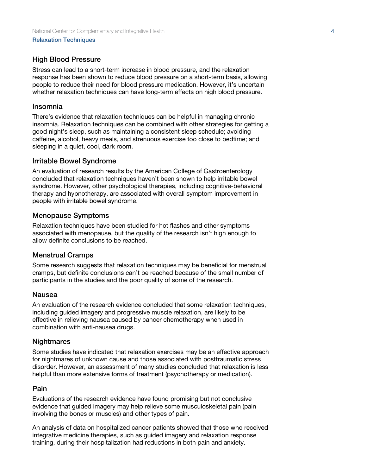## High Blood Pressure

Stress can lead to a short-term increase in blood pressure, and the relaxation response has been shown to reduce blood pressure on a short-term basis, allowing people to reduce their need for blood pressure medication. However, it's uncertain whether relaxation techniques can have long-term effects on high blood pressure.

#### Insomnia

There's evidence that relaxation techniques can be helpful in managing chronic insomnia. Relaxation techniques can be combined with other strategies for getting a good night's sleep, such as maintaining a consistent sleep schedule; avoiding caffeine, alcohol, heavy meals, and strenuous exercise too close to bedtime; and sleeping in a quiet, cool, dark room.

### Irritable Bowel Syndrome

An evaluation of research results by the American College of Gastroenterology concluded that relaxation techniques haven't been shown to help irritable bowel syndrome. However, other psychological therapies, including cognitive-behavioral therapy and hypnotherapy, are associated with overall symptom improvement in people with irritable bowel syndrome.

#### Menopause Symptoms

Relaxation techniques have been studied for hot flashes and other symptoms associated with menopause, but the quality of the research isn't high enough to allow definite conclusions to be reached.

#### Menstrual Cramps

Some research suggests that relaxation techniques may be beneficial for menstrual cramps, but definite conclusions can't be reached because of the small number of participants in the studies and the poor quality of some of the research.

#### Nausea

An evaluation of the research evidence concluded that some relaxation techniques, including guided imagery and progressive muscle relaxation, are likely to be effective in relieving nausea caused by cancer chemotherapy when used in combination with anti-nausea drugs.

#### Nightmares

Some studies have indicated that relaxation exercises may be an effective approach for nightmares of unknown cause and those associated with posttraumatic stress disorder. However, an assessment of many studies concluded that relaxation is less helpful than more extensive forms of treatment (psychotherapy or medication).

## Pain

Evaluations of the research evidence have found promising but not conclusive evidence that guided imagery may help relieve some musculoskeletal pain (pain involving the bones or muscles) and other types of pain.

An analysis of data on hospitalized cancer patients showed that those who received integrative medicine therapies, such as guided imagery and relaxation response training, during their hospitalization had reductions in both pain and anxiety.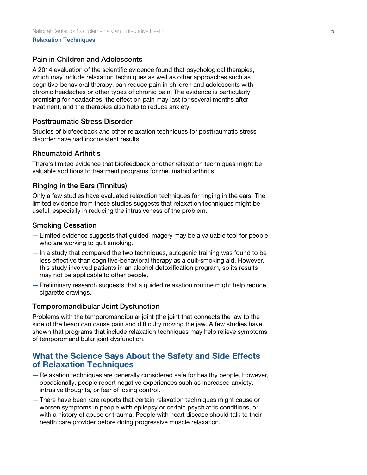## Pain in Children and Adolescents

A 2014 evaluation of the scientific evidence found that psychological therapies, which may include relaxation techniques as well as other approaches such as cognitive-behavioral therapy, can reduce pain in children and adolescents with chronic headaches or other types of chronic pain. The evidence is particularly promising for headaches: the effect on pain may last for several months after treatment, and the therapies also help to reduce anxiety.

## Posttraumatic Stress Disorder

Studies of biofeedback and other relaxation techniques for posttraumatic stress disorder have had inconsistent results.

## Rheumatoid Arthritis

There's limited evidence that biofeedback or other relaxation techniques might be valuable additions to treatment programs for rheumatoid arthritis.

## Ringing in the Ears (Tinnitus)

Only a few studies have evaluated relaxation techniques for ringing in the ears. The limited evidence from these studies suggests that relaxation techniques might be useful, especially in reducing the intrusiveness of the problem.

## Smoking Cessation

- —Limited evidence suggests that guided imagery may be a valuable tool for people who are working to quit smoking.
- $-$  In a study that compared the two techniques, autogenic training was found to be less effective than cognitive-behavioral therapy as a quit-smoking aid. However, this study involved patients in an alcohol detoxification program, so its results may not be applicable to other people.
- —Preliminary research suggests that a guided relaxation routine might help reduce cigarette cravings.

## Temporomandibular Joint Dysfunction

Problems with the temporomandibular joint (the joint that connects the jaw to the side of the head) can cause pain and difficulty moving the jaw. A few studies have shown that programs that include relaxation techniques may help relieve symptoms of temporomandibular joint dysfunction.

## What the Science Says About the Safety and Side Effects of Relaxation Techniques

- —Relaxation techniques are generally considered safe for healthy people. However, occasionally, people report negative experiences such as increased anxiety, intrusive thoughts, or fear of losing control.
- —There have been rare reports that certain relaxation techniques might cause or worsen symptoms in people with epilepsy or certain psychiatric conditions, or with a history of abuse or trauma. People with heart disease should talk to their health care provider before doing progressive muscle relaxation.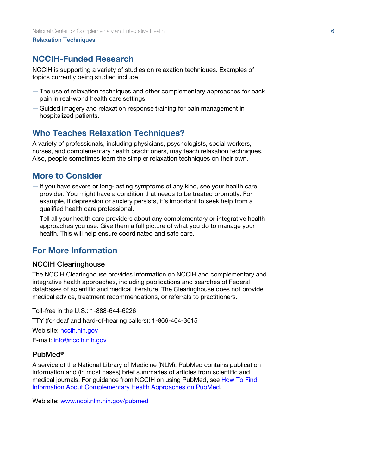## NCCIH-Funded Research

NCCIH is supporting a variety of studies on relaxation techniques. Examples of topics currently being studied include

- —The use of relaxation techniques and other complementary approaches for back pain in real-world health care settings.
- —Guided imagery and relaxation response training for pain management in hospitalized patients.

## Who Teaches Relaxation Techniques?

A variety of professionals, including physicians, psychologists, social workers, nurses, and complementary health practitioners, may teach relaxation techniques. Also, people sometimes learn the simpler relaxation techniques on their own.

## More to Consider

- —If you have severe or long-lasting symptoms of any kind, see your health care provider. You might have a condition that needs to be treated promptly. For example, if depression or anxiety persists, it's important to seek help from a qualified health care professional.
- —Tell all your health care providers about any complementary or integrative health approaches you use. Give them a full picture of what you do to manage your health. This will help ensure coordinated and safe care.

## For More Information

#### NCCIH Clearinghouse

The NCCIH Clearinghouse provides information on NCCIH and complementary and integrative health approaches, including publications and searches of Federal databases of scientific and medical literature. The Clearinghouse does not provide medical advice, treatment recommendations, or referrals to practitioners.

Toll-free in the U.S.: 1-888-644-6226 TTY (for deaf and hard-of-hearing callers): 1-866-464-3615 Web site: [nccih.nih.gov](https://nccih.nih.gov/)

E-mail: [info@nccih.nih.gov](mailto:info@nccih.nih.gov)

## PubMed®

A service of the National Library of Medicine (NLM), PubMed contains publication information and (in most cases) brief summaries of articles from scientific and medical journals. For guidance from NCCIH on using PubMed, see [How To Find](https://nccih.nih.gov/health/find-information-about-complementary-health-approaches-pubmed)  [Information About Complementary Health Approaches on](https://nccih.nih.gov/health/find-information-about-complementary-health-approaches-pubmed) PubMed.

Web site: [www.ncbi.nlm.nih.gov/pubmed](http://www.ncbi.nlm.nih.gov/pubmed)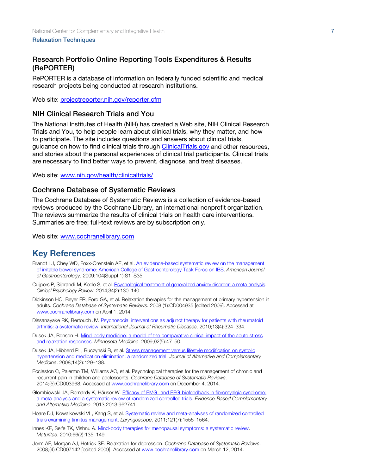### Research Portfolio Online Reporting Tools Expenditures & Results (RePORTER)

RePORTER is a database of information on federally funded scientific and medical research projects being conducted at research institutions.

Web site: [projectreporter.nih.gov/reporter.cfm](http://projectreporter.nih.gov/reporter.cfm)

#### NIH Clinical Research Trials and You

The National Institutes of Health (NIH) has created a Web site, NIH Clinical Research Trials and You, to help people learn about clinical trials, why they matter, and how to participate. The site includes questions and answers about clinical trials, guidance on how to find clinical trials through [ClinicalTrials.gov](http://clinicaltrials.gov/) and other resources, and stories about the personal experiences of clinical trial participants. Clinical trials are necessary to find better ways to prevent, diagnose, and treat diseases.

Web site: [www.nih.gov/health/clinicaltrials/](http://www.nih.gov/health/clinicaltrials/)

#### Cochrane Database of Systematic Reviews

The Cochrane Database of Systematic Reviews is a collection of evidence-based reviews produced by the Cochrane Library, an international nonprofit organization. The reviews summarize the results of clinical trials on health care interventions. Summaries are free; full-text reviews are by subscription only.

Web site: [www.cochranelibrary.com](http://www.cochranelibrary.com/)

## Key References

- Brandt LJ, Chey WD, Foxx-Orenstein AE, et al. An evidence-based systematic review on the management [of irritable bowel syndrome: American College of Gastroenterology Task Force on IBS](http://www.ncbi.nlm.nih.gov/pubmed/19521341). *American Journal of Gastroenterology*. 2009;104(Suppl 1):S1–S35.
- Cuijpers P, Sijbrandij M, Koole S, et al. [Psychological treatment of generalized anxiety disorder: a meta-analysis](http://www.ncbi.nlm.nih.gov/pubmed/24487344). *Clinical Psychology Review*. 2014;34(2):130–140.
- Dickinson HO, Beyer FR, Ford GA, et al. Relaxation therapies for the management of primary hypertension in adults. *Cochrane Database of Systematic Reviews.* 2008;(1):CD004935 [edited 2009]. Accessed at [www.cochranelibrary.com](http://www.cochranelibrary.com/) on April 1, 2014.
- Dissanayake RK, Bertouch JV. [Psychosocial interventions as adjunct therapy for patients with rheumatoid](http://www.ncbi.nlm.nih.gov/pubmed/21199467)  [arthritis: a systematic review](http://www.ncbi.nlm.nih.gov/pubmed/21199467). *International Journal of Rheumatic Diseases*. 2010;13(4):324–334.
- Dusek JA, Benson H. [Mind-body medicine: a model of the comparative clinical impact of the acute stress](http://www.ncbi.nlm.nih.gov/pubmed/19552264)  [and relaxation responses.](http://www.ncbi.nlm.nih.gov/pubmed/19552264) *Minnesota Medicine*. 2009;92(5):47–50.
- Dusek JA, Hibberd PL, Buczynski B, et al. [Stress management versus lifestyle modification on systolic](http://www.ncbi.nlm.nih.gov/pubmed/18315510)  [hypertension and medication elimination: a randomized trial.](http://www.ncbi.nlm.nih.gov/pubmed/18315510) *Journal of Alternative and Complementary Medicine*. 2008;14(2):129–138.
- Eccleston C, Palermo TM, Williams AC, et al. Psychological therapies for the management of chronic and recurrent pain in children and adolescents. *Cochrane Database of Systematic Reviews*. 2014;(5):CD003968. Accessed at [www.cochranelibrary.com](http://www.cochranelibrary.com/) on December 4, 2014.
- Glombiewski JA, Bernardy K, Häuser W. [Efficacy of EMG- and EEG-biofeedback in fibromyalgia syndrome:](http://www.ncbi.nlm.nih.gov/pubmed/24082911)  [a meta-analysis and a systematic review of randomized controlled trials.](http://www.ncbi.nlm.nih.gov/pubmed/24082911) *Evidence-Based Complementary and Alternative Medicine*. 2013;2013:962741.
- Hoare DJ, Kowalkowski VL, Kang S, et al. Systematic review and meta-analyses of randomized controlled trials [examining tinnitus management](http://www.ncbi.nlm.nih.gov/pubmed/21671234). *Laryngoscope*. 2011;121(7):1555–1564.
- Innes KE, Selfe TK, Vishnu A. [Mind-body therapies for menopausal symptoms: a systematic review.](http://www.ncbi.nlm.nih.gov/pubmed/20167444) *Maturitas*. 2010;66(2):135–149.
- Jorm AF, Morgan AJ, Hetrick SE. Relaxation for depression. *Cochrane Database of Systematic Reviews*. 2008;(4):CD007142 [edited 2009]. Accessed at [www.cochranelibrary.com](http://www.cochranelibrary.com/) on March 12, 2014.